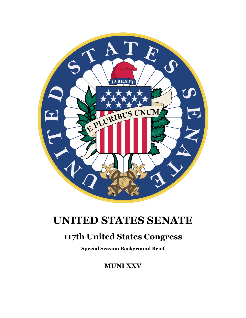

# **UNITED STATES SENATE**

## **117th United States Congress**

**Special Session Background Brief**

**MUNI XXV**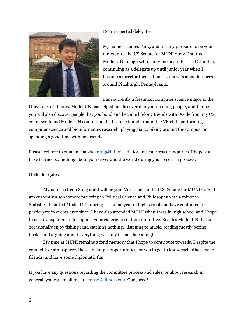Dear respected delegates,



My name is James Fang, and it is my pleasure to be your director for the US Senate for MUNI 2022. I started Model UN in high school in Vancouver, British Columbia, continuing as a delegate up until junior year when I became a director then sat on secretariats at conferences around Pittsburgh, Pennsylvania.

I am currently a freshman computer science major at the

University of Illinois. Model UN has helped me discover many interesting people, and I hope you will also discover people that you bond and become lifelong friends with. Aside from my CS coursework and Model UN commitments, I can be found around the VR club, performing computer science and bioinformatics research, playing piano, biking around the campus, or spending a good time with my friends.

Please feel free to email me at **[zhengru3@illinois.edu](mailto:zhengru3@illinois.edu)** for any concerns or inquiries. I hope you have learned something about yourselves and the world during your research process.

Hello delegates,

My name is Keon Sung and I will be your Vice Chair in the U.S. Senate for MUNI 2022. I am currently a sophomore majoring in Political Science and Philosophy with a minor in Statistics. I started Model U.N. during freshman year of high school and have continued to participate in events ever since. I have also attended MUNI when I was in high school and I hope to use my experiences to support your experience in this committee. Besides Model UN, I also occasionally enjoy fishing (and catching nothing), listening to music, reading mostly boring books, and arguing about everything with my friends late at night.

My time at MUNI remains a fond memory that I hope to contribute towards. Despite the competitive atmosphere, there are ample opportunities for you to get to know each other, make friends, and have some diplomatic fun.

If you have any questions regarding the committee process and rules, or about research in general, you can email me at [keons2@illinois.edu](mailto:keons2@illinois.edu). Godspeed!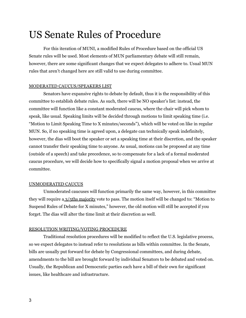## US Senate Rules of Procedure

For this iteration of MUNI, a modified Rules of Procedure based on the official US Senate rules will be used. Most elements of MUN parliamentary debate will still remain, however, there are some significant changes that we expect delegates to adhere to. Usual MUN rules that aren't changed here are still valid to use during committee.

#### MODERATED CAUCUS/SPEAKERS LIST

Senators have expansive rights to debate by default, thus it is the responsibility of this committee to establish debate rules. As such, there will be NO speaker's list: instead, the committee will function like a constant moderated caucus, where the chair will pick whom to speak, like usual. Speaking limits will be decided through motions to limit speaking time (i.e. "Motion to Limit Speaking Time to X minutes/seconds"), which will be voted on like in regular MUN. So, if no speaking time is agreed upon, a delegate can technically speak indefinitely, however, the dias will boot the speaker or set a speaking time at their discretion, and the speaker cannot transfer their speaking time to anyone. As usual, motions can be proposed at any time (outside of a speech) and take precedence, so to compensate for a lack of a formal moderated caucus procedure, we will decide how to specifically signal a motion proposal when we arrive at committee.

### UNMODERATED CAUCUS

Unmoderated caucuses will function primarily the same way, however, in this committee they will require a 3/5ths majority vote to pass. The motion itself will be changed to: "Motion to Suspend Rules of Debate for X minutes," however, the old motion will still be accepted if you forget. The dias will alter the time limit at their discretion as well.

#### RESOLUTION WRITING/VOTING PROCEDURE

Traditional resolution procedures will be modified to reflect the U.S. legislative process, so we expect delegates to instead refer to resolutions as bills within committee. In the Senate, bills are usually put forward for debate by Congressional committees, and during debate, amendments to the bill are brought forward by individual Senators to be debated and voted on. Usually, the Republican and Democratic parties each have a bill of their own for significant issues, like healthcare and infrastructure.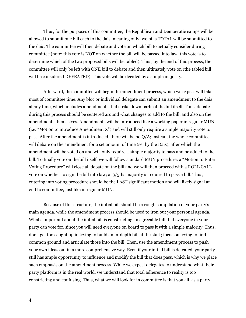Thus, for the purposes of this committee, the Republican and Democratic camps will be allowed to submit one bill each to the dais, meaning only two bills TOTAL will be submitted to the dais. The committee will then debate and vote on which bill to actually consider during committee (note: this vote is NOT on whether the bill will be passed into law; this vote is to determine which of the two proposed bills will be tabled). Thus, by the end of this process, the committee will only be left with ONE bill to debate and then ultimately vote on (the tabled bill will be considered DEFEATED). This vote will be decided by a simple majority.

Afterward, the committee will begin the amendment process, which we expect will take most of committee time. Any bloc or individual delegate can submit an amendment to the dais at any time, which includes amendments that strike down parts of the bill itself. Thus, debate during this process should be centered around what changes to add to the bill, and also on the amendments themselves. Amendments will be introduced like a working paper in regular MUN (i.e. "Motion to introduce Amendment X") and will still only require a simple majority vote to pass. After the amendment is introduced, there will be no Q/A; instead, the whole committee will debate on the amendment for a set amount of time (set by the Dais), after which the amendment will be voted on and will only require a simple majority to pass and be added to the bill. To finally vote on the bill itself, we will follow standard MUN procedure: a "Motion to Enter Voting Procedure" will close all debate on the bill and we will then proceed with a ROLL CALL vote on whether to sign the bill into law; a 3/5ths majority is required to pass a bill. Thus, entering into voting procedure should be the LAST significant motion and will likely signal an end to committee, just like in regular MUN.

Because of this structure, the initial bill should be a rough compilation of your party's main agenda, while the amendment process should be used to iron out your personal agenda. What's important about the initial bill is constructing an agreeable bill that everyone in your party can vote for, since you will need everyone on board to pass it with a simple majority. Thus, don't get too caught up in trying to build an in-depth bill at the start; focus on trying to find common ground and articulate those into the bill. Then, use the amendment process to push your own ideas out in a more comprehensive way. Even if your initial bill is defeated, your party still has ample opportunity to influence and modify the bill that does pass, which is why we place such emphasis on the amendment process. While we expect delegates to understand what their party platform is in the real world, we understand that total adherence to reality is too constricting and confusing. Thus, what we will look for in committee is that you all, as a party,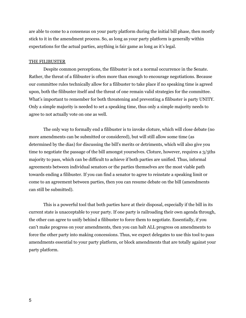are able to come to a consensus on your party platform during the initial bill phase, then mostly stick to it in the amendment process. So, as long as your party platform is generally within expectations for the actual parties, anything is fair game as long as it's legal.

#### THE FILIBUSTER

Despite common perceptions, the filibuster is not a normal occurrence in the Senate. Rather, the threat of a filibuster is often more than enough to encourage negotiations. Because our committee rules technically allow for a filibuster to take place if no speaking time is agreed upon, both the filibuster itself and the threat of one remain valid strategies for the committee. What's important to remember for both threatening and preventing a filibuster is party UNITY. Only a simple majority is needed to set a speaking time, thus only a simple majority needs to agree to not actually vote on one as well.

The only way to formally end a filibuster is to invoke cloture, which will close debate (no more amendments can be submitted or considered), but will still allow some time (as determined by the dias) for discussing the bill's merits or detriments, which will also give you time to negotiate the passage of the bill amongst yourselves. Cloture, however, requires a 3/5ths majority to pass, which can be difficult to achieve if both parties are unified. Thus, informal agreements between individual senators or the parties themselves are the most viable path towards ending a filibuster. If you can find a senator to agree to reinstate a speaking limit or come to an agreement between parties, then you can resume debate on the bill (amendments can still be submitted).

This is a powerful tool that both parties have at their disposal, especially if the bill in its current state is unacceptable to your party. If one party is railroading their own agenda through, the other can agree to unify behind a filibuster to force them to negotiate. Essentially, if you can't make progress on your amendments, then you can halt ALL progress on amendments to force the other party into making concessions. Thus, we expect delegates to use this tool to pass amendments essential to your party platform, or block amendments that are totally against your party platform.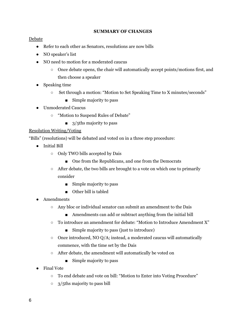### **SUMMARY OF CHANGES**

## Debate

- Refer to each other as Senators, resolutions are now bills
- NO speaker's list
- NO need to motion for a moderated caucus
	- Once debate opens, the chair will automatically accept points/motions first, and then choose a speaker
- Speaking time
	- Set through a motion: "Motion to Set Speaking Time to X minutes/seconds"
		- Simple majority to pass
- Unmoderated Caucus
	- "Motion to Suspend Rules of Debate"
		- 3/5ths majority to pass

## Resolution Writing/Voting

"Bills" (resolutions) will be debated and voted on in a three step procedure:

- Initial Bill
	- Only TWO bills accepted by Dais
		- One from the Republicans, and one from the Democrats
	- After debate, the two bills are brought to a vote on which one to primarily consider
		- Simple majority to pass
		- Other bill is tabled
- Amendments
	- Any bloc or individual senator can submit an amendment to the Dais
		- Amendments can add or subtract anything from the initial bill
	- To introduce an amendment for debate: "Motion to Introduce Amendment X"
		- Simple majority to pass (just to introduce)
	- $\circ$  Once introduced, NO Q/A; instead, a moderated caucus will automatically commence, with the time set by the Dais
	- After debate, the amendment will automatically be voted on
		- Simple majority to pass
- **Final Vote** 
	- To end debate and vote on bill: "Motion to Enter into Voting Procedure"
	- 3/5ths majority to pass bill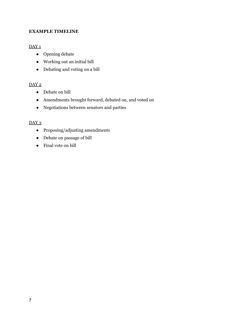## **EXAMPLE TIMELINE**

## $DAY_1$

- Opening debate
- Working out an initial bill
- Debating and voting on a bill

## DAY<sub>2</sub>

- Debate on bill
- Amendments brought forward, debated on, and voted on
- Negotiations between senators and parties

## DAY<sub>3</sub>

- Proposing/adjusting amendments
- Debate on passage of bill
- Final vote on bill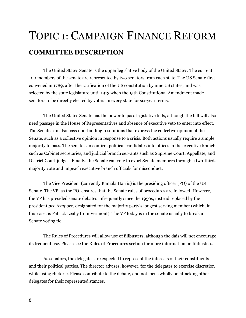# TOPIC 1: CAMPAIGN FINANCE REFORM **COMMITTEE DESCRIPTION**

The United States Senate is the upper legislative body of the United States. The current 100 members of the senate are represented by two senators from each state. The US Senate first convened in 1789, after the ratification of the US constitution by nine US states, and was selected by the state legislature until 1913 when the 15th Constitutional Amendment made senators to be directly elected by voters in every state for six-year terms.

The United States Senate has the power to pass legislative bills, although the bill will also need passage in the House of Representatives and absence of executive veto to enter into effect. The Senate can also pass non-binding resolutions that express the collective opinion of the Senate, such as a collective opinion in response to a crisis. Both actions usually require a simple majority to pass. The senate can confirm political candidates into offices in the executive branch, such as Cabinet secretaries, and judicial branch servants such as Supreme Court, Appellate, and District Court judges. Finally, the Senate can vote to expel Senate members through a two-thirds majority vote and impeach executive branch officials for misconduct.

The Vice President (currently Kamala Harris) is the presiding officer (PO) of the US Senate. The VP, as the PO, ensures that the Senate rules of procedures are followed. However, the VP has presided senate debates infrequently since the 1950s, instead replaced by the president *pro tempore,* designated for the majority party's longest serving member (which, in this case, is Patrick Leahy from Vermont). The VP today is in the senate usually to break a Senate voting tie.

The Rules of Procedures will allow use of filibusters, although the dais will not encourage its frequent use. Please see the Rules of Procedures section for more information on filibusters.

As senators, the delegates are expected to represent the interests of their constituents and their political parties. The director advises, however, for the delegates to exercise discretion while using rhetoric. Please contribute to the debate, and not focus wholly on attacking other delegates for their represented stances.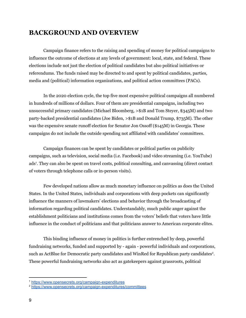## **BACKGROUND AND OVERVIEW**

Campaign finance refers to the raising and spending of money for political campaigns to influence the outcome of elections at any levels of government: local, state, and federal. These elections include not just the election of political candidates but also political initiatives or referendums. The funds raised may be directed to and spent by political candidates, parties, media and (political) information organizations, and political action committees (PACs).

In the 2020 election cycle, the top five most expensive political campaigns all numbered in hundreds of millions of dollars. Four of them are presidential campaigns, including two unsuccessful primary candidates (Michael Bloomberg, >\$1B and Tom Steyer, \$345M) and two party-backed presidential candidates (Joe Biden, >\$1B and Donald Trump, \$735M). The other was the expensive senate runoff election for Senator Jon Ossoff (\$145M) in Georgia. These campaigns do not include the outside spending not affiliated with candidates' committees.

Campaign finances can be spent by candidates or political parties on publicity campaigns, such as television, social media (i.e. Facebook) and video streaming (i.e. YouTube) ads 1 . They can also be spent on travel costs, political consulting, and canvassing (direct contact of voters through telephone calls or in-person visits).

Few developed nations allow as much monetary influence on politics as does the United States. In the United States, individuals and corporations with deep pockets can significantly influence the manners of lawmakers' elections and behavior through the broadcasting of information regarding political candidates. Understandably, much public anger against the establishment politicians and institutions comes from the voters' beliefs that voters have little influence in the conduct of politicians and that politicians answer to American corporate elites.

This binding influence of money in politics is further entrenched by deep, powerful fundraising networks, funded and supported by - again - powerful individuals and corporations, such as ActBlue for Democratic party candidates and WinRed for Republican party candidates<sup>2</sup>. These powerful fundraising networks also act as gatekeepers against grassroots, political

<sup>1</sup> <https://www.opensecrets.org/campaign-expenditures>

<sup>2</sup> <https://www.opensecrets.org/campaign-expenditures/committees>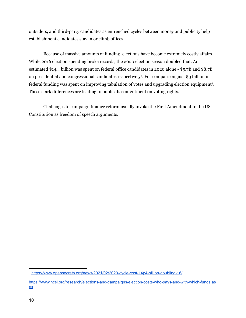outsiders, and third-party candidates as entrenched cycles between money and publicity help establishment candidates stay in or climb offices.

Because of massive amounts of funding, elections have become extremely costly affairs. While 2016 election spending broke records, the 2020 election season doubled that. An estimated \$14.4 billion was spent on federal office candidates in 2020 alone - \$5.7B and \$8.7B on presidential and congressional candidates respectively 3 . For comparison, just \$3 billion in federal funding was spent on improving tabulation of votes and upgrading election equipment 4 . These stark differences are leading to public discontentment on voting rights.

Challenges to campaign finance reform usually invoke the First Amendment to the US Constitution as freedom of speech arguments.

4

<sup>3</sup> <https://www.opensecrets.org/news/2021/02/2020-cycle-cost-14p4-billion-doubling-16/>

[https://www.ncsl.org/research/elections-and-campaigns/election-costs-who-pays-and-with-which-funds.as](https://www.ncsl.org/research/elections-and-campaigns/election-costs-who-pays-and-with-which-funds.aspx) [px](https://www.ncsl.org/research/elections-and-campaigns/election-costs-who-pays-and-with-which-funds.aspx)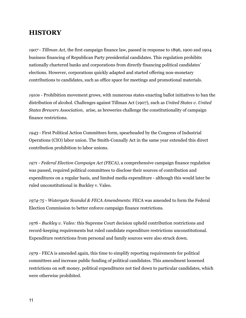## **HISTORY**

*1907* - *Tillman Act*, the first campaign finance law, passed in response to 1896, 1900 and 1904 business financing of Republican Party presidential candidates. This regulation prohibits nationally chartered banks and corporations from directly financing political candidates' elections. However, corporations quickly adapted and started offering non-monetary contributions to candidates, such as office space for meetings and promotional materials.

*1910s* - Prohibition movement grows, with numerous states enacting ballot initiatives to ban the distribution of alcohol. Challenges against Tillman Act (1907), such as *United States v. United States Brewers Association*, arise, as breweries challenge the constitutionality of campaign finance restrictions.

*1943* - First Political Action Committees form, spearheaded by the Congress of Industrial Operations (CIO) labor union. The Smith-Connally Act in the same year extended this direct contribution prohibition to labor unions.

*1971* - *Federal Election Campaign Act (FECA)*, a comprehensive campaign finance regulation was passed, required political committees to disclose their sources of contribution and expenditures on a regular basis, and limited media expenditure - although this would later be ruled unconstitutional in Buckley v. Valeo.

*1974-75* - *Watergate Scandal & FECA Amendments*: FECA was amended to form the Federal Election Commission to better enforce campaign finance restrictions.

*1976* - *Buckley v. Valeo:* this Supreme Court decision upheld contribution restrictions and record-keeping requirements but ruled candidate expenditure restrictions unconstitutional. Expenditure restrictions from personal and family sources were also struck down.

*1979* - FECA is amended again, this time to simplify reporting requirements for political committees and increase public funding of political candidates. This amendment loosened restrictions on soft money, political expenditures not tied down to particular candidates, which were otherwise prohibited.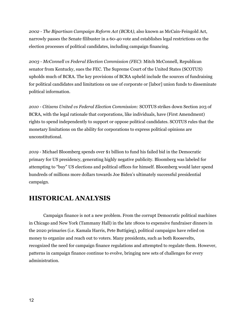*2002* - *The Bipartisan Campaign Reform Act (BCRA)*, also known as McCain-Feingold Act, narrowly passes the Senate filibuster in a 60-40 vote and establishes legal restrictions on the election processes of political candidates, including campaign financing.

*2003* - *McConnell vs Federal Election Commission (FEC)*: Mitch McConnell, Republican senator from Kentucky, sues the FEC. The Supreme Court of the United States (SCOTUS) upholds much of BCRA. The key provisions of BCRA upheld include the sources of fundraising for political candidates and limitations on use of corporate or [labor] union funds to disseminate political information.

*2010* - *Citizens United vs Federal Election Commission:* SCOTUS strikes down Section 203 of BCRA, with the legal rationale that corporations, like individuals, have (First Amendment) rights to spend independently to support or oppose political candidates. SCOTUS rules that the monetary limitations on the ability for corporations to express political opinions are unconstitutional.

*2019* - Michael Bloomberg spends over \$1 billion to fund his failed bid in the Democratic primary for US presidency, generating highly negative publicity. Bloomberg was labeled for attempting to "buy" US elections and political offices for himself. Bloomberg would later spend hundreds of millions more dollars towards Joe Biden's ultimately successful presidential campaign.

## **HISTORICAL ANALYSIS**

Campaign finance is not a new problem. From the corrupt Democratic political machines in Chicago and New York (Tammany Hall) in the late 1800s to expensive fundraiser dinners in the 2020 primaries (i.e. Kamala Harris, Pete Buttigieg), political campaigns have relied on money to organize and reach out to voters. Many presidents, such as both Roosevelts, recognized the need for campaign finance regulations and attempted to regulate them. However, patterns in campaign finance continue to evolve, bringing new sets of challenges for every administration.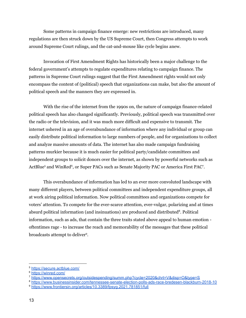Some patterns in campaign finance emerge: new restrictions are introduced, many regulations are then struck down by the US Supreme Court, then Congress attempts to work around Supreme Court rulings, and the cat-and-mouse like cycle begins anew.

Invocation of First Amendment Rights has historically been a major challenge to the federal government's attempts to regulate expenditures relating to campaign finance. The patterns in Supreme Court rulings suggest that the First Amendment rights would not only encompass the content of (political) speech that organizations can make, but also the amount of political speech and the manners they are expressed in.

With the rise of the internet from the 1990s on, the nature of campaign finance-related political speech has also changed significantly. Previously, political speech was transmitted over the radio or the television, and it was much more difficult and expensive to transmit. The internet ushered in an age of overabundance of information where any individual or group can easily distribute political information to large numbers of people, and for organizations to collect and analyze massive amounts of data. The internet has also made campaign fundraising patterns murkier because it is much easier for political party/candidate committees and independent groups to solicit donors over the internet, as shown by powerful networks such as ActBlue<sup>5</sup> and WinRed<sup>6</sup>, or Super PACs such as Senate Majority PAC or America First PAC<sup>7</sup>.

This overabundance of information has led to an ever more convoluted landscape with many different players, between political committees and independent expenditure groups, all at work airing political information. Now political committees and organizations compete for voters' attention. To compete for the ever-scarce attention, ever-vulgar, polarizing and at times absurd political information (and insinuations) are produced and distributed<sup>8</sup>. Political information, such as ads, that contain the three traits stated above appeal to human emotion oftentimes rage - to increase the reach and memorability of the messages that these political broadcasts attempt to deliver 9 .

<sup>5</sup> <https://secure.actblue.com/>

<sup>6</sup> <https://winred.com/>

<sup>7</sup> <https://www.opensecrets.org/outsidespending/summ.php?cycle=2020&chrt=V&disp=O&type=S>

<sup>8</sup> <https://www.businessinsider.com/tennessee-senate-election-polls-ads-race-bredesen-blackburn-2018-10>

<sup>9</sup> <https://www.frontiersin.org/articles/10.3389/fpsyg.2021.781851/full>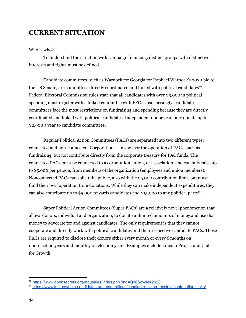## **CURRENT SITUATION**

#### Who is who?

To understand the situation with campaign financing, distinct groups with distinctive interests and rights must be defined.

Candidate committees, such as Warnock for Georgia for Raphael Warnock's 2020 bid to the US Senate, are committees directly coordinated and linked with political candidates<sup>10</sup>. Federal Electoral Commission rules state that all candidates with over \$5,000 in political spending must register with a linked committee with FEC. Unsurprisingly, candidate committees face the most restrictions on fundraising and spending because they are directly coordinated and linked with political candidates. Independent donors can only donate up to \$2,900 a year to candidate committees.

Regular Political Action Committees (PACs) are separated into two different types: connected and non-connected. Corporations can sponsor the operation of PACs, such as fundraising, but not contribute directly from the corporate treasury for PAC funds. The connected PACs must be connected to a corporation, union, or association, and can only raise up to \$5,000 per person, from members of the organization (employees and union members). Nonconnected PACs can solicit the public, also with the \$5,000 contribution limit, but must fund their own operation from donations. While they can make independent expenditures, they can also contribute up to  $$5,000$  towards candidates and  $$15,000$  to any political party<sup>11</sup>.

Super Political Action Committees (Super PACs) are a relatively novel phenomenon that allows donors, individual and organization, to donate unlimited amounts of money and use that money to advocate for and against candidates. The only requirement is that they cannot cooperate and directly work with political candidates and their respective candidate PACs. Those PACs are required to disclose their donors either every month or every 6 months on non-election years and monthly on election years. Examples include Lincoln Project and Club for Growth.

<sup>10</sup> <https://www.opensecrets.org/industries/indus.php?ind=Q16&cycle=2020>

<sup>11</sup> <https://www.fec.gov/help-candidates-and-committees/candidate-taking-receipts/contribution-limits/>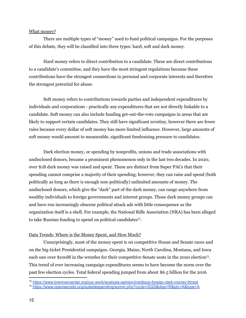#### What money?

There are multiple types of "money" used to fund political campaigns. For the purposes of this debate, they will be classified into three types: hard, soft and dark money.

Hard money refers to direct contribution to a candidate. These are direct contributions to a candidate's committee, and they have the most stringent regulations because these contributions have the strongest connections to personal and corporate interests and therefore the strongest potential for abuse.

Soft money refers to contributions towards parties and independent expenditures by individuals and corporations - practically any expenditures that are not directly linkable to a candidate. Soft money can also include funding get-out-the-vote campaigns in areas that are likely to support certain candidates. They still have significant scrutiny, however there are fewer rules because every dollar of soft money has more limited influence. However, large amounts of soft money would amount to measurable, significant fundraising pressure to candidates.

Dark election money, or spending by nonprofits, unions and trade associations with undisclosed donors, became a prominent phenomenon only in the last two decades. In 2020, over \$1B dark money was raised and spent. These are distinct from Super PACs that their spending cannot comprise a majority of their spending; however, they can raise and spend (both politically as long as there is enough non-politically) unlimited amounts of money. The undisclosed donors, which give the "dark" part of the dark money, can range anywhere from wealthy individuals to foreign governments and interest groups. Those dark money groups can and have run increasingly obscene political attack ads with little consequence as the organization itself is a shell. For example, the National Rifle Association (NRA) has been alleged to take Russian funding to spend on political candidates<sup>12</sup>.

### Data Trends: Where is the Money Spent, and How Much?

Unsurprisingly, most of the money spent is on competitive House and Senate races and on the big-ticket Presidential campaigns. Georgia, Maine, North Carolina, Montana, and Iowa each saw over \$100M in the wrestles for their competitive Senate seats in the 2020 election<sup>13</sup>. This trend of ever increasing campaign expenditures seems to have become the norm over the past few election cycles. Total federal spending jumped from about \$6.5 billion for the 2016

<sup>12</sup> <https://www.brennancenter.org/our-work/analysis-opinion/insidious-foreign-dark-money-threat>

<sup>13</sup> <https://www.opensecrets.org/outsidespending/summ.php?cycle=2020&disp=R&pty=A&type=A>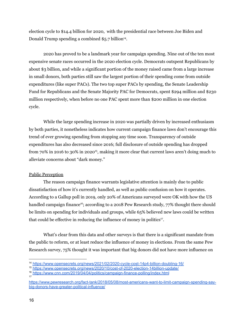election cycle to \$14.4 billion for 2020, with the presidential race between Joe Biden and Donald Trump spending a combined \$5.7 billion<sup>14</sup>.

2020 has proved to be a landmark year for campaign spending. Nine out of the ten most expensive senate races occurred in the 2020 election cycle. Democrats outspent Republicans by about \$3 billion, and while a significant portion of the money raised came from a large increase in small donors, both parties still saw the largest portion of their spending come from outside expenditures (like super PACs). The two top super PACs by spending, the Senate Leadership Fund for Republicans and the Senate Majority PAC for Democrats, spent \$294 million and \$230 million respectively, when before no one PAC spent more than \$200 million in one election cycle.

While the large spending increase in 2020 was partially driven by increased enthusiasm by both parties, it nonetheless indicates how current campaign finance laws don't encourage this trend of ever growing spending from stopping any time soon. Transparency of outside expenditures has also decreased since 2016; full disclosure of outside spending has dropped from 70% in 2016 to 30% in 2020<sup>15</sup>, making it more clear that current laws aren't doing much to alleviate concerns about "dark money."

## Public Perception

The reason campaign finance warrants legislative attention is mainly due to public dissatisfaction of how it's currently handled, as well as public confusion on how it operates. According to a Gallup poll in 2019, only 20% of Americans surveyed were OK with how the US handled campaign finance<sup>16</sup>; according to a 2018 Pew Research study, 77% thought there should be limits on spending for individuals and groups, while 65% believed new laws could be written that could be effective in reducing the influence of money in politics<sup>17</sup>.

What's clear from this data and other surveys is that there is a significant mandate from the public to reform, or at least reduce the influence of money in elections. From the same Pew Research survey, 75% thought it was important that big donors did not have more influence on

<sup>14</sup> <https://www.opensecrets.org/news/2021/02/2020-cycle-cost-14p4-billion-doubling-16/>

<sup>15</sup> <https://www.opensecrets.org/news/2020/10/cost-of-2020-election-14billion-update/>

<sup>17</sup> <sup>16</sup> <https://www.cnn.com/2019/04/04/politics/campaign-finance-polling/index.html>

[https://www.pewresearch.org/fact-tank/2018/05/08/most-americans-want-to-limit-campaign-spending-say](https://www.pewresearch.org/fact-tank/2018/05/08/most-americans-want-to-limit-campaign-spending-say-big-donors-have-greater-political-influence/)[big-donors-have-greater-political-influence/](https://www.pewresearch.org/fact-tank/2018/05/08/most-americans-want-to-limit-campaign-spending-say-big-donors-have-greater-political-influence/)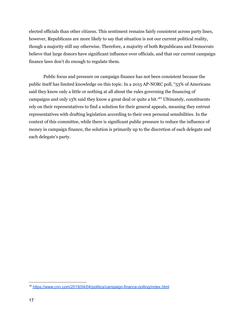elected officials than other citizens. This sentiment remains fairly consistent across party lines, however, Republicans are more likely to say that situation is not our current political reality, though a majority still say otherwise. Therefore, a majority of both Republicans and Democrats believe that large donors have significant influence over officials, and that our current campaign finance laws don't do enough to regulate them.

Public focus and pressure on campaign finance has not been consistent because the public itself has limited knowledge on this topic. In a 2015 AP-NORC poll, "53% of Americans said they know only a little or nothing at all about the rules governing the financing of campaigns and only 13% said they know a great deal or quite a bit. <sup>18</sup>" Ultimately, constituents rely on their representatives to find a solution for their general appeals, meaning they entrust representatives with drafting legislation according to their own personal sensibilities. In the context of this committee, while there is significant public pressure to reduce the influence of money in campaign finance, the solution is primarily up to the discretion of each delegate and each delegate's party.

<sup>18</sup> <https://www.cnn.com/2019/04/04/politics/campaign-finance-polling/index.html>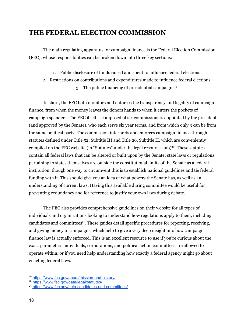## **THE FEDERAL ELECTION COMMISSION**

The main regulating apparatus for campaign finance is the Federal Election Commission (FEC), whose responsibilities can be broken down into three key sections:

- 1. Public disclosure of funds raised and spent to influence federal elections
- 2. Restrictions on contributions and expenditures made to influence federal elections
	- 3. The public financing of presidential campaigns 19

In short, the FEC both monitors and enforces the transparency and legality of campaign finance, from when the money leaves the donors hands to when it enters the pockets of campaign spenders. The FEC itself is composed of six commissioners appointed by the president (and approved by the Senate), who each serve six year terms, and from which only 3 can be from the same political party. The commission interprets and enforces campaign finance through statutes defined under Title 52, Subtitle III and Title 26, Subtitle H, which are conveniently compiled on the FEC website (in "Statutes" under the legal resources tab)<sup>20</sup>. These statutes contain all federal laws that can be altered or built upon by the Senate; state laws or regulations pertaining to states themselves are outside the constitutional limits of the Senate as a federal institution, though one way to circumvent this is to establish national guidelines and tie federal funding with it. This should give you an idea of what powers the Senate has, as well as an understanding of current laws. Having this available during committee would be useful for preventing redundancy and for reference to justify your own laws during debate.

The FEC also provides comprehensive guidelines on their website for all types of individuals and organizations looking to understand how regulations apply to them, including candidates and committees 21 . These guides detail specific procedures for reporting, receiving, and giving money to campaigns, which help to give a very deep insight into how campaign finance law is actually enforced. This is an excellent resource to use if you're curious about the exact parameters individuals, corporations, and political action committees are allowed to operate within, or if you need help understanding how exactly a federal agency might go about enacting federal laws.

<sup>19</sup> <https://www.fec.gov/about/mission-and-history/>

<sup>20</sup> <https://www.fec.gov/data/legal/statutes/>

<sup>21</sup> <https://www.fec.gov/help-candidates-and-committees/>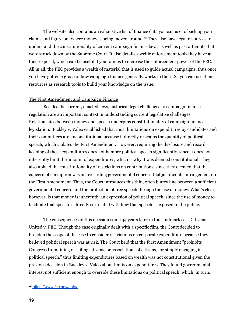The website also contains an exhaustive list of finance data you can use to back up your claims and figure out where money is being moved around. <sup>22</sup> They also have legal resources to understand the constitutionality of current campaign finance laws, as well as past attempts that were struck down by the Supreme Court. It also details specific enforcement tools they have at their exposal, which can be useful if your aim is to increase the enforcement power of the FEC. All in all, the FEC provides a wealth of material that is used to guide actual campaigns, thus once you have gotten a grasp of how campaign finance generally works in the U.S., you can use their resources as research tools to build your knowledge on the issue.

#### The First Amendment and Campaign Finance

Besides the current, enacted laws, historical legal challenges to campaign finance regulation are an important context in understanding current legislative challenges. Relationships between money and speech underpins constitutionality of campaign finance legislation. Buckley v. Valeo established that most limitations on expenditures by candidates and their committees are unconstitutional because it directly restrains the quantity of political speech, which violates the First Amendment. However, requiring the disclosure and record keeping of those expenditures does not hamper political speech significantly, since it does not inherently limit the amount of expenditures, which is why it was deemed constitutional. They also upheld the constitutionality of restrictions on contributions, since they deemed that the concern of corruption was an overriding governmental concern that justified its infringement on the First Amendment. Thus, the Court introduces this thin, often blurry line between a sufficient governmental concern and the protection of free speech through the use of money. What's clear, however, is that money is inherently an expression of political speech, since the use of money to facilitate that speech is directly correlated with how that speech is exposed to the public.

The consequences of this decision come 34 years later in the landmark case Citizens United v. FEC. Though the case originally dealt with a specific film, the Court decided to broaden the scope of the case to consider restrictions on corporate expenditure because they believed political speech was at risk. The Court held that the First Amendment "prohibits Congress from fining or jailing citizens, or associations of citizens, for simply engaging in political speech," thus limiting expenditures based on wealth was not constitutional given the previous decision in Buckley v. Valeo about limits on expenditures. They found governmental interest not sufficient enough to override these limitations on political speech, which, in turn,

<sup>22</sup> <https://www.fec.gov/data/>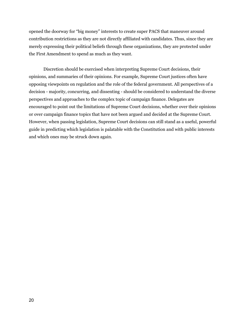opened the doorway for "big money" interests to create super PACS that maneuver around contribution restrictions as they are not directly affiliated with candidates. Thus, since they are merely expressing their political beliefs through these organizations, they are protected under the First Amendment to spend as much as they want.

Discretion should be exercised when interpreting Supreme Court decisions, their opinions, and summaries of their opinions. For example, Supreme Court justices often have opposing viewpoints on regulation and the role of the federal government. All perspectives of a decision - majority, concurring, and dissenting - should be considered to understand the diverse perspectives and approaches to the complex topic of campaign finance. Delegates are encouraged to point out the limitations of Supreme Court decisions, whether over their opinions or over campaign finance topics that have not been argued and decided at the Supreme Court. However, when passing legislation, Supreme Court decisions can still stand as a useful, powerful guide in predicting which legislation is palatable with the Constitution and with public interests and which ones may be struck down again.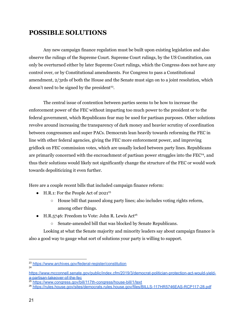## **POSSIBLE SOLUTIONS**

Any new campaign finance regulation must be built upon existing legislation and also observe the rulings of the Supreme Court. Supreme Court rulings, by the US Constitution, can only be overturned either by later Supreme Court rulings, which the Congress does not have any control over, or by Constitutional amendments. For Congress to pass a Constitutional amendment, 2/3rds of both the House and the Senate must sign on to a joint resolution, which doesn't need to be signed by the president<sup>23</sup>.

The central issue of contention between parties seems to be how to increase the enforcement power of the FEC without imparting too much power to the president or to the federal government, which Republicans fear may be used for partisan purposes. Other solutions revolve around increasing the transparency of dark money and heavier scrutiny of coordination between congressmen and super PACs. Democrats lean heavily towards reforming the FEC in line with other federal agencies, giving the FEC more enforcement power, and improving gridlock on FEC commission votes, which are usually locked between party lines. Republicans are primarily concerned with the encroachment of partisan power struggles into the FEC<sup>24</sup>, and thus their solutions would likely not significantly change the structure of the FEC or would work towards depoliticizing it even further.

Here are a couple recent bills that included campaign finance reform:

- H.R.1: For the People Act of 2021 25
	- House bill that passed along party lines; also includes voting rights reform, among other things.
- $\bullet$  H.R.5746: Freedom to Vote: John R. Lewis Act<sup>26</sup>
	- Senate-amended bill that was blocked by Senate Republicans.

Looking at what the Senate majority and minority leaders say about campaign finance is also a good way to gauge what sort of solutions your party is willing to support.

24

<sup>23</sup> <https://www.archives.gov/federal-register/constitution>

[https://www.mcconnell.senate.gov/public/index.cfm/2019/3/democrat-politician-protection-act-would-yield](https://www.mcconnell.senate.gov/public/index.cfm/2019/3/democrat-politician-protection-act-would-yield-a-partisan-takeover-of-the-fec)[a-partisan-takeover-of-the-fec](https://www.mcconnell.senate.gov/public/index.cfm/2019/3/democrat-politician-protection-act-would-yield-a-partisan-takeover-of-the-fec)

<sup>25</sup> <https://www.congress.gov/bill/117th-congress/house-bill/1/text>

<sup>26</sup> <https://rules.house.gov/sites/democrats.rules.house.gov/files/BILLS-117HR5746EAS-RCP117-28.pdf>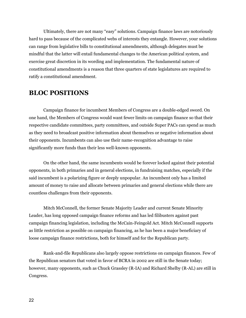Ultimately, there are not many "easy" solutions. Campaign finance laws are notoriously hard to pass because of the complicated webs of interests they entangle. However, your solutions can range from legislative bills to constitutional amendments, although delegates must be mindful that the latter will entail fundamental changes to the American political system, and exercise great discretion in its wording and implementation. The fundamental nature of constitutional amendments is a reason that three quarters of state legislatures are required to ratify a constitutional amendment.

## **BLOC POSITIONS**

Campaign finance for incumbent Members of Congress are a double-edged sword. On one hand, the Members of Congress would want fewer limits on campaign finance so that their respective candidate committees, party committees, and outside Super PACs can spend as much as they need to broadcast positive information about themselves or negative information about their opponents. Incumbents can also use their name-recognition advantage to raise significantly more funds than their less well-known opponents.

On the other hand, the same incumbents would be forever locked against their potential opponents, in both primaries and in general elections, in fundraising matches, especially if the said incumbent is a polarizing figure or deeply unpopular. An incumbent only has a limited amount of money to raise and allocate between primaries and general elections while there are countless challenges from their opponents.

Mitch McConnell, the former Senate Majority Leader and current Senate Minority Leader, has long opposed campaign finance reforms and has led filibusters against past campaign financing legislation, including the McCain-Feingold Act. Mitch McConnell supports as little restriction as possible on campaign financing, as he has been a major beneficiary of loose campaign finance restrictions, both for himself and for the Republican party.

Rank-and-file Republicans also largely oppose restrictions on campaign finances. Few of the Republican senators that voted in favor of BCRA in 2002 are still in the Senate today; however, many opponents, such as Chuck Grassley (R-IA) and Richard Shelby (R-AL) are still in Congress.